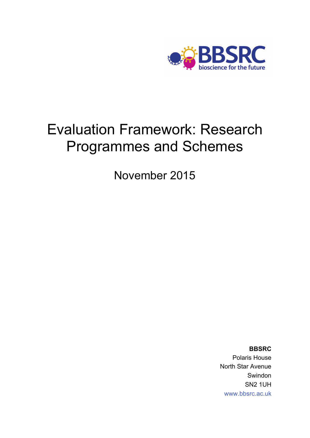

# Evaluation Framework: Research Programmes and Schemes

November 2015

**BBSRC**  Polaris House North Star Avenue Swindon SN2 1UH [www.bbsrc.ac.uk](http://www.bbsrc.ac.uk)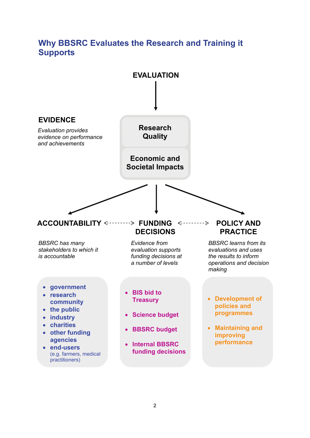## **Why BBSRC Evaluates the Research and Training it Supports**

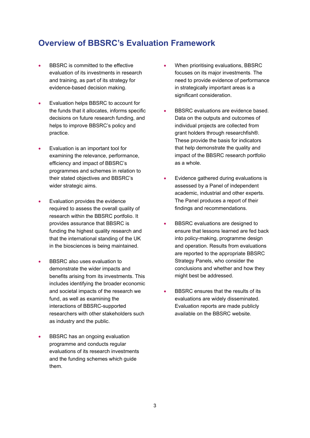### **Overview of BBSRC's Evaluation Framework**

- BBSRC is committed to the effective evaluation of its investments in research and training, as part of its strategy for evidence-based decision making.
- **Evaluation helps BBSRC to account for** the funds that it allocates, informs specific decisions on future research funding, and helps to improve BBSRC's policy and practice.
- Evaluation is an important tool for examining the relevance, performance, efficiency and impact of BBSRC's programmes and schemes in relation to their stated objectives and BBSRC's wider strategic aims.
- Evaluation provides the evidence required to assess the overall quality of research within the BBSRC portfolio. It provides assurance that BBSRC is funding the highest quality research and that the international standing of the UK in the biosciences is being maintained.
- BBSRC also uses evaluation to demonstrate the wider impacts and benefits arising from its investments. This includes identifying the broader economic and societal impacts of the research we fund, as well as examining the interactions of BBSRC-supported researchers with other stakeholders such as industry and the public.
- **BBSRC** has an ongoing evaluation programme and conducts regular evaluations of its research investments and the funding schemes which guide them.
- When prioritising evaluations, BBSRC focuses on its major investments. The need to provide evidence of performance in strategically important areas is a significant consideration.
- BBSRC evaluations are evidence based. Data on the outputs and outcomes of individual projects are collected from grant holders through researchfish®. These provide the basis for indicators that help demonstrate the quality and impact of the BBSRC research portfolio as a whole.
- Evidence gathered during evaluations is assessed by a Panel of independent academic, industrial and other experts. The Panel produces a report of their findings and recommendations.
- BBSRC evaluations are designed to ensure that lessons learned are fed back into policy-making, programme design and operation. Results from evaluations are reported to the appropriate BBSRC Strategy Panels, who consider the conclusions and whether and how they might best be addressed.
- BBSRC ensures that the results of its evaluations are widely disseminated. Evaluation reports are made publicly available on the BBSRC website.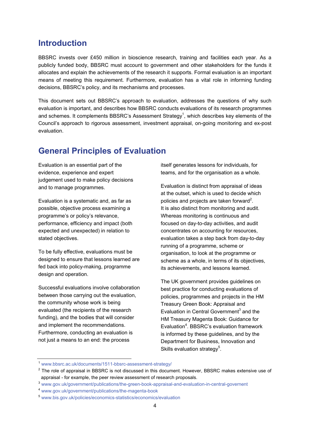### **Introduction**

BBSRC invests over £450 million in bioscience research, training and facilities each year. As a publicly funded body, BBSRC must account to government and other stakeholders for the funds it allocates and explain the achievements of the research it supports. Formal evaluation is an important means of meeting this requirement. Furthermore, evaluation has a vital role in informing funding decisions, BBSRC's policy, and its mechanisms and processes.

This document sets out BBSRC's approach to evaluation, addresses the questions of why such evaluation is important, and describes how BBSRC conducts evaluations of its research programmes and schemes. It complements BBSRC's Assessment Strategy<sup>1</sup>, which describes key elements of the Council's approach to rigorous assessment, investment appraisal, on-going monitoring and ex-post evaluation.

### **General Principles of Evaluation**

Evaluation is an essential part of the evidence, experience and expert judgement used to make policy decisions and to manage programmes.

Evaluation is a systematic and, as far as possible, objective process examining a programme's or policy's relevance, performance, efficiency and impact (both expected and unexpected) in relation to stated objectives.

To be fully effective, evaluations must be designed to ensure that lessons learned are fed back into policy-making, programme design and operation.

Successful evaluations involve collaboration between those carrying out the evaluation, the community whose work is being evaluated (the recipients of the research funding), and the bodies that will consider and implement the recommendations. Furthermore, conducting an evaluation is not just a means to an end: the process

itself generates lessons for individuals, for teams, and for the organisation as a whole.

Evaluation is distinct from appraisal of ideas at the outset, which is used to decide which policies and projects are taken forward<sup>2</sup>. It is also distinct from monitoring and audit. Whereas monitoring is continuous and focused on day-to-day activities, and audit concentrates on accounting for resources, evaluation takes a step back from day-to-day running of a programme, scheme or organisation, to look at the programme or scheme as a whole, in terms of its objectives, its achievements, and lessons learned.

The UK government provides guidelines on best practice for conducting evaluations of policies, programmes and projects in the HM Treasury Green Book: Appraisal and Evaluation in Central Government<sup>3</sup> and the HM Treasury Magenta Book: Guidance for Evaluation<sup>4</sup>. BBSRC's evaluation framework is informed by these guidelines, and by the Department for Business, Innovation and Skills evaluation strategy<sup>5</sup>.

<sup>1</sup> [www.bbsrc.ac.uk/documents/1511-bbsrc-assessment-strategy/](http://www.bbsrc.ac.uk/documents/1511-bbsrc-assessment-strategy/)

 $^2$  The role of appraisal in BBSRC is not discussed in this document. However, BBSRC makes extensive use of appraisal - for example, the peer review assessment of research proposals.<br><sup>3</sup> [www.gov.uk/government/publications/the-green-book-appraisal-and-evaluation-in-central-governent](http://www.gov.uk/government/publications/the-green-book-appraisal-and-evaluation-in-central-governent)

<sup>4</sup> [www.gov.uk/government/publications/the-magenta-book](http://www.gov.uk/government/publications/the-magenta-book)

<sup>5</sup> [www.bis.gov.uk/policies/economics-statistics/economics/evaluation](http://www.bis.gov.uk/policies/economics-statistics/economics/evaluation)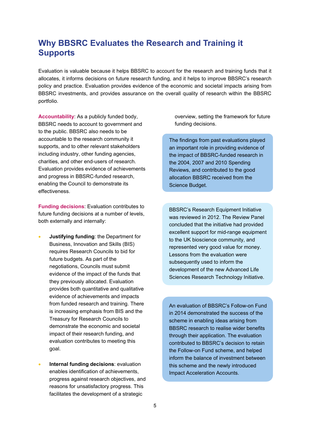### **Why BBSRC Evaluates the Research and Training it Supports**

Evaluation is valuable because it helps BBSRC to account for the research and training funds that it allocates, it informs decisions on future research funding, and it helps to improve BBSRC's research policy and practice. Evaluation provides evidence of the economic and societal impacts arising from BBSRC investments, and provides assurance on the overall quality of research within the BBSRC portfolio.

**Accountability**: As a publicly funded body, BBSRC needs to account to government and to the public. BBSRC also needs to be accountable to the research community it supports, and to other relevant stakeholders including industry, other funding agencies, charities, and other end-users of research. Evaluation provides evidence of achievements and progress in BBSRC-funded research, enabling the Council to demonstrate its effectiveness.

**Funding decisions**: Evaluation contributes to future funding decisions at a number of levels, both externally and internally:

- **Justifying funding**: the Department for Business, Innovation and Skills (BIS) requires Research Councils to bid for future budgets. As part of the negotiations, Councils must submit evidence of the impact of the funds that they previously allocated. Evaluation provides both quantitative and qualitative evidence of achievements and impacts from funded research and training. There is increasing emphasis from BIS and the Treasury for Research Councils to demonstrate the economic and societal impact of their research funding, and evaluation contributes to meeting this goal.
- **Internal funding decisions**: evaluation enables identification of achievements, progress against research objectives, and reasons for unsatisfactory progress. This facilitates the development of a strategic

overview, setting the framework for future funding decisions.

The findings from past evaluations played an important role in providing evidence of the impact of BBSRC-funded research in the 2004, 2007 and 2010 Spending Reviews, and contributed to the good allocation BBSRC received from the Science Budget.

BBSRC's Research Equipment Initiative was reviewed in 2012. The Review Panel concluded that the initiative had provided excellent support for mid-range equipment to the UK bioscience community, and represented very good value for money. Lessons from the evaluation were subsequently used to inform the development of the new Advanced Life Sciences Research Technology Initiative.

An evaluation of BBSRC's Follow-on Fund in 2014 demonstrated the success of the scheme in enabling ideas arising from BBSRC research to realise wider benefits through their application. The evaluation contributed to BBSRC's decision to retain the Follow-on Fund scheme, and helped inform the balance of investment between this scheme and the newly introduced Impact Acceleration Accounts.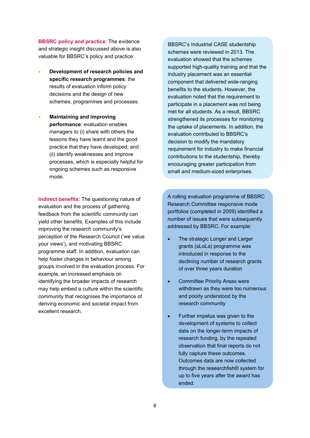**BBSRC policy and practice**: The evidence and strategic insight discussed above is also valuable for BBSRC's policy and practice:

- **Development of research policies and specific research programmes**: the results of evaluation inform policy decisions and the design of new schemes, programmes and processes.
- **Maintaining and improving performance**: evaluation enables managers to (i) share with others the lessons they have learnt and the good practice that they have developed; and (ii) identify weaknesses and improve processes, which is especially helpful for ongoing schemes such as responsive mode.

**Indirect benefits**: The questioning nature of evaluation and the process of gathering feedback from the scientific community can yield other benefits. Examples of this include improving the research community's perception of the Research Council ('we value your views'), and motivating BBSRC programme staff. In addition, evaluation can help foster changes in behaviour among groups involved in the evaluation process. For example, an increased emphasis on identifying the broader impacts of research may help embed a culture within the scientific community that recognises the importance of deriving economic and societal impact from excellent research.

BBSRC's Industrial CASE studentship schemes were reviewed in 2013. The evaluation showed that the schemes supported high-quality training and that the industry placement was an essential component that delivered wide-ranging benefits to the students. However, the evaluation noted that the requirement to participate in a placement was not being met for all students. As a result, BBSRC strengthened its processes for monitoring the uptake of placements. In addition, the evaluation contributed to BBSRC's decision to modify the mandatory requirement for industry to make financial contributions to the studentship, thereby encouraging greater participation from small and medium-sized enterprises.

A rolling evaluation programme of BBSRC Research Committee responsive mode portfolios (completed in 2009) identified a number of issues that were subsequently addressed by BBSRC. For example:

- The strategic Longer and Larger grants (sLoLa) programme was introduced in response to the declining number of research grants of over three years duration
- Committee Priority Areas were withdrawn as they were too numerous and poorly understood by the research community
- Further impetus was given to the development of systems to collect data on the longer-term impacts of research funding, by the repeated observation that final reports do not fully capture these outcomes. Outcomes data are now collected through the researchfish® system for up to five years after the award has ended.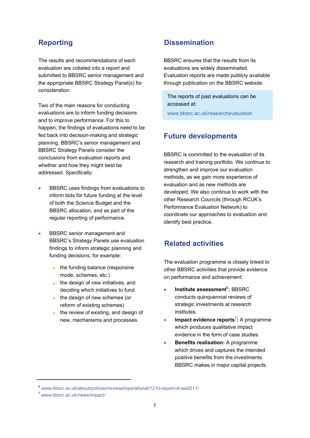The results and recommendations of each evaluation are collated into a report and submitted to BBSRC senior management and the appropriate BBSRC Strategy Panel(s) for consideration.

Two of the main reasons for conducting evaluations are to inform funding decisions and to improve performance. For this to happen, the findings of evaluations need to be fed back into decision-making and strategic planning. BBSRC's senior management and BBSRC Strategy Panels consider the conclusions from evaluation reports and whether and how they might best be addressed. Specifically:

- BBSRC uses findings from evaluations to inform bids for future funding at the level of both the Science Budget and the BBSRC allocation, and as part of the regular reporting of performance.
- BBSRC senior management and BBSRC's Strategy Panels use evaluation findings to inform strategic planning and funding decisions, for example:
	- the funding balance (responsive mode, schemes, etc.)
	- the design of new initiatives, and deciding which initiatives to fund
	- the design of new schemes (or reform of existing schemes)
	- the review of existing, and design of new, mechanisms and processes.

### **Reporting Contract Contract Dissemination**

BBSRC ensures that the results from its evaluations are widely disseminated. Evaluation reports are made publicly available through publication on the BBSRC website.

The reports of past evaluations can be accessed at:

[www.bbsrc.ac.uk/researchevaluation](http://www.bbsrc.ac.uk/researchevaluation)

### **Future developments**

BBSRC is committed to the evaluation of its research and training portfolio. We continue to strengthen and improve our evaluation methods, as we gain more experience of evaluation and as new methods are developed. We also continue to work with the other Research Councils (through RCUK's Performance Evaluation Network) to coordinate our approaches to evaluation and identify best practice.

### **Related activities**

The evaluation programme is closely linked to other BBSRC activities that provide evidence on performance and achievement:

- **Institute assessment<sup>6</sup>: BBSRC** conducts quinquennial reviews of strategic investments at research institutes.
- **Impact evidence reports<sup>7</sup>: A programme** which produces qualitative impact evidence in the form of case studies.
- **Benefits realisation:** A programme which drives and captures the intended positive benefits from the investments BBSRC makes in major capital projects.

<sup>6</sup> [www.bbsrc.ac.uk/about/policies/reviews/operational/1210-report-of-iae2011/](http://www.bbsrc.ac.uk/about/policies/reviews/operational/1210-report-of-iae2011/)

<sup>7</sup> [www.bbsrc.ac.uk/news/impact/](http://www.bbsrc.ac.uk/news/impact/)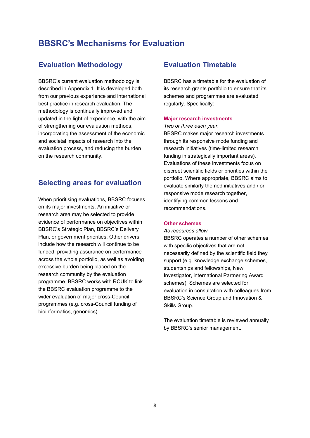### **BBSRC's Mechanisms for Evaluation**

### **Evaluation Methodology**

BBSRC's current evaluation methodology is described in Appendix 1. It is developed both from our previous experience and international best practice in research evaluation. The methodology is continually improved and updated in the light of experience, with the aim of strengthening our evaluation methods, incorporating the assessment of the economic and societal impacts of research into the evaluation process, and reducing the burden on the research community.

### **Selecting areas for evaluation**

When prioritising evaluations, BBSRC focuses on its major investments. An initiative or research area may be selected to provide evidence of performance on objectives within BBSRC's Strategic Plan, BBSRC's Delivery Plan, or government priorities. Other drivers include how the research will continue to be funded, providing assurance on performance across the whole portfolio, as well as avoiding excessive burden being placed on the research community by the evaluation programme. BBSRC works with RCUK to link the BBSRC evaluation programme to the wider evaluation of major cross-Council programmes (e.g. cross-Council funding of bioinformatics, genomics).

### **Evaluation Timetable**

BBSRC has a timetable for the evaluation of its research grants portfolio to ensure that its schemes and programmes are evaluated regularly. Specifically:

### **Major research investments**

*Two or three each year.* 

BBSRC makes major research investments through its responsive mode funding and research initiatives (time-limited research funding in strategically important areas). Evaluations of these investments focus on discreet scientific fields or priorities within the portfolio. Where appropriate, BBSRC aims to evaluate similarly themed initiatives and / or responsive mode research together, identifying common lessons and recommendations.

#### **Other schemes**

*As resources allow.* 

BBSRC operates a number of other schemes with specific objectives that are not necessarily defined by the scientific field they support (e.g. knowledge exchange schemes, studentships and fellowships, New Investigator, international Partnering Award schemes). Schemes are selected for evaluation in consultation with colleagues from BBSRC's Science Group and Innovation & Skills Group.

The evaluation timetable is reviewed annually by BBSRC's senior management.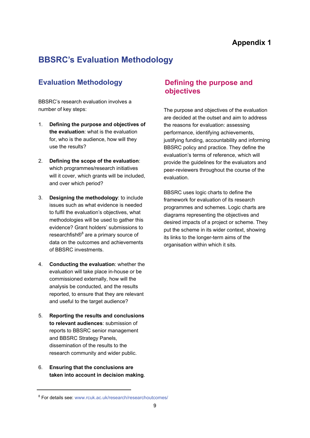## **BBSRC's Evaluation Methodology**

### **Evaluation Methodology**

BBSRC's research evaluation involves a number of key steps:

- 1. **Defining the purpose and objectives of the evaluation**: what is the evaluation for, who is the audience, how will they use the results?
- 2. **Defining the scope of the evaluation**: which programmes/research initiatives will it cover, which grants will be included, and over which period?
- 3. **Designing the methodology**: to include issues such as what evidence is needed to fulfil the evaluation's objectives, what methodologies will be used to gather this evidence? Grant holders' submissions to researchfish®<sup>8</sup> are a primary source of data on the outcomes and achievements of BBSRC investments.
- 4. **Conducting the evaluation**: whether the evaluation will take place in-house or be commissioned externally, how will the analysis be conducted, and the results reported, to ensure that they are relevant and useful to the target audience?
- 5. **Reporting the results and conclusions to relevant audiences**: submission of reports to BBSRC senior management and BBSRC Strategy Panels, dissemination of the results to the research community and wider public.
- 6. **Ensuring that the conclusions are taken into account in decision making**.

### **Defining the purpose and objectives**

The purpose and objectives of the evaluation are decided at the outset and aim to address the reasons for evaluation: assessing performance, identifying achievements, justifying funding, accountability and informing BBSRC policy and practice. They define the evaluation's terms of reference, which will provide the guidelines for the evaluators and peer-reviewers throughout the course of the evaluation.

BBSRC uses logic charts to define the framework for evaluation of its research programmes and schemes. Logic charts are diagrams representing the objectives and desired impacts of a project or scheme. They put the scheme in its wider context, showing its links to the longer-term aims of the organisation within which it sits.

<sup>&</sup>lt;sup>8</sup> For details see: [www.rcuk.ac.uk/research/researchoutcomes/](http://www.rcuk.ac.uk/research/researchoutcomes/)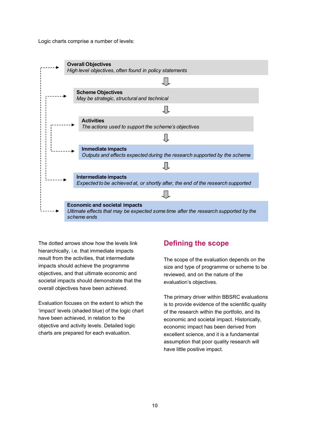Logic charts comprise a number of levels:



The dotted arrows show how the levels link hierarchically, i.e. that immediate impacts result from the activities, that intermediate impacts should achieve the programme objectives, and that ultimate economic and societal impacts should demonstrate that the overall objectives have been achieved.

Evaluation focuses on the extent to which the 'impact' levels (shaded blue) of the logic chart have been achieved, in relation to the objective and activity levels. Detailed logic charts are prepared for each evaluation.

### **Defining the scope**

The scope of the evaluation depends on the size and type of programme or scheme to be reviewed, and on the nature of the evaluation's objectives.

The primary driver within BBSRC evaluations is to provide evidence of the scientific quality of the research within the portfolio, and its economic and societal impact. Historically, economic impact has been derived from excellent science, and it is a fundamental assumption that poor quality research will have little positive impact.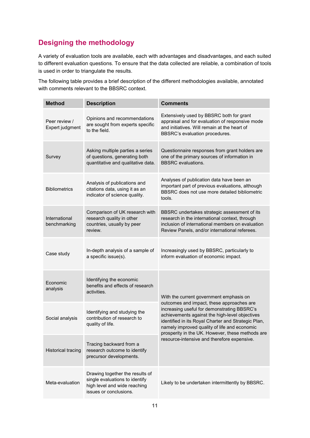### **Designing the methodology**

A variety of evaluation tools are available, each with advantages and disadvantages, and each suited to different evaluation questions. To ensure that the data collected are reliable, a combination of tools is used in order to triangulate the results.

The following table provides a brief description of the different methodologies available, annotated with comments relevant to the BBSRC context.

| <b>Method</b>                    | <b>Description</b>                                                                                                          | <b>Comments</b>                                                                                                                                                                                                                                                                                                                                                                                 |
|----------------------------------|-----------------------------------------------------------------------------------------------------------------------------|-------------------------------------------------------------------------------------------------------------------------------------------------------------------------------------------------------------------------------------------------------------------------------------------------------------------------------------------------------------------------------------------------|
| Peer review /<br>Expert judgment | Opinions and recommendations<br>are sought from experts specific<br>to the field.                                           | Extensively used by BBSRC both for grant<br>appraisal and for evaluation of responsive mode<br>and initiatives. Will remain at the heart of<br>BBSRC's evaluation procedures.                                                                                                                                                                                                                   |
| Survey                           | Asking multiple parties a series<br>of questions, generating both<br>quantitative and qualitative data.                     | Questionnaire responses from grant holders are<br>one of the primary sources of information in<br><b>BBSRC</b> evaluations.                                                                                                                                                                                                                                                                     |
| <b>Bibliometrics</b>             | Analysis of publications and<br>citations data, using it as an<br>indicator of science quality.                             | Analyses of publication data have been an<br>important part of previous evaluations, although<br>BBSRC does not use more detailed bibliometric<br>tools.                                                                                                                                                                                                                                        |
| International<br>benchmarking    | Comparison of UK research with<br>research quality in other<br>countries, usually by peer<br>review.                        | BBSRC undertakes strategic assessment of its<br>research in the international context, through<br>inclusion of international members on evaluation<br>Review Panels, and/or international referees.                                                                                                                                                                                             |
| Case study                       | In-depth analysis of a sample of<br>a specific issue(s).                                                                    | Increasingly used by BBSRC, particularly to<br>inform evaluation of economic impact.                                                                                                                                                                                                                                                                                                            |
| Economic<br>analysis             | Identifying the economic<br>benefits and effects of research<br>activities.                                                 | With the current government emphasis on<br>outcomes and impact, these approaches are<br>increasing useful for demonstrating BBSRC's<br>achievements against the high-level objectives<br>identified in its Royal Charter and Strategic Plan,<br>namely improved quality of life and economic<br>prosperity in the UK. However, these methods are<br>resource-intensive and therefore expensive. |
| Social analysis                  | Identifying and studying the<br>contribution of research to<br>quality of life.                                             |                                                                                                                                                                                                                                                                                                                                                                                                 |
| <b>Historical tracing</b>        | Tracing backward from a<br>research outcome to identify<br>precursor developments.                                          |                                                                                                                                                                                                                                                                                                                                                                                                 |
| Meta-evaluation                  | Drawing together the results of<br>single evaluations to identify<br>high level and wide reaching<br>issues or conclusions. | Likely to be undertaken intermittently by BBSRC.                                                                                                                                                                                                                                                                                                                                                |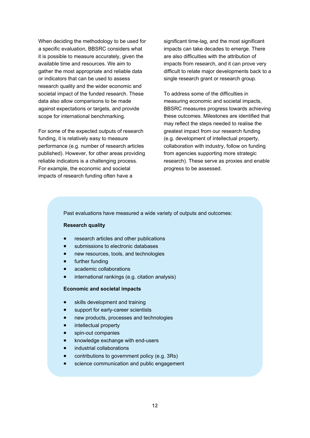When deciding the methodology to be used for a specific evaluation, BBSRC considers what it is possible to measure accurately, given the available time and resources. We aim to gather the most appropriate and reliable data or indicators that can be used to assess research quality and the wider economic and societal impact of the funded research. These data also allow comparisons to be made against expectations or targets, and provide scope for international benchmarking.

For some of the expected outputs of research funding, it is relatively easy to measure performance (e.g. number of research articles published). However, for other areas providing reliable indicators is a challenging process. For example, the economic and societal impacts of research funding often have a

significant time-lag, and the most significant impacts can take decades to emerge. There are also difficulties with the attribution of impacts from research, and it can prove very difficult to relate major developments back to a single research grant or research group.

To address some of the difficulties in measuring economic and societal impacts, BBSRC measures progress towards achieving these outcomes. Milestones are identified that may reflect the steps needed to realise the greatest impact from our research funding (e.g. development of intellectual property, collaboration with industry, follow on funding from agencies supporting more strategic research). These serve as proxies and enable progress to be assessed.

Past evaluations have measured a wide variety of outputs and outcomes:

### **Research quality**

- research articles and other publications
- submissions to electronic databases
- new resources, tools, and technologies
- further funding
- academic collaborations
- international rankings (e.g. citation analysis)

#### **Economic and societal impacts**

- skills development and training
- support for early-career scientists
- new products, processes and technologies
- intellectual property
- spin-out companies
- knowledge exchange with end-users
- industrial collaborations
- contributions to government policy (e.g. 3Rs)
- science communication and public engagement